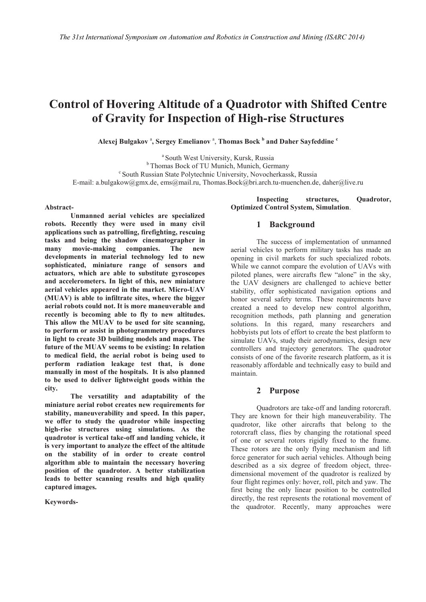# **Control of Hovering Altitude of a Quadrotor with Shifted Centre of Gravity for Inspection of High-rise Structures**

 $A$ lexej Bulgakov<sup>a</sup>, Sergey Emelianov<sup>a</sup>, Thomas Bock  $b$  and Daher Sayfeddine  $c$ 

<sup>a</sup> South West University, Kursk, Russia<br><sup>b</sup> Thomas Bock of TU Munich, Munich, Germany <sup>c</sup> South Russian State Polytechnic University, Novocherkassk, Russia E-mail: a.bulgakow@gmx.de, ems@mail.ru, Thomas.Bock@bri.arch.tu-muenchen.de, daher@live.ru

#### **Abstract-**

**Unmanned aerial vehicles are specialized robots. Recently they were used in many civil applications such as patrolling, firefighting, rescuing tasks and being the shadow cinematographer in many movie-making companies. The new developments in material technology led to new sophisticated, miniature range of sensors and actuators, which are able to substitute gyroscopes and accelerometers. In light of this, new miniature aerial vehicles appeared in the market. Micro-UAV (MUAV) is able to infiltrate sites, where the bigger aerial robots could not. It is more maneuverable and recently is becoming able to fly to new altitudes. This allow the MUAV to be used for site scanning, to perform or assist in photogrammetry procedures in light to create 3D building models and maps. The future of the MUAV seems to be existing: In relation to medical field, the aerial robot is being used to perform radiation leakage test that, is done manually in most of the hospitals. It is also planned to be used to deliver lightweight goods within the city.** 

**The versatility and adaptability of the miniature aerial robot creates new requirements for stability, maneuverability and speed. In this paper, we offer to study the quadrotor while inspecting high-rise structures using simulations. As the quadrotor is vertical take-off and landing vehicle, it is very important to analyze the effect of the altitude on the stability of in order to create control algorithm able to maintain the necessary hovering position of the quadrotor. A better stabilization leads to better scanning results and high quality captured images.**

**Keywords-**

**Inspecting structures, Quadrotor, Optimized Control System, Simulation**.

#### **1 Background**

The success of implementation of unmanned aerial vehicles to perform military tasks has made an opening in civil markets for such specialized robots. While we cannot compare the evolution of UAVs with piloted planes, were aircrafts flew "alone" in the sky, the UAV designers are challenged to achieve better stability, offer sophisticated navigation options and honor several safety terms. These requirements have created a need to develop new control algorithm, recognition methods, path planning and generation solutions. In this regard, many researchers and hobbyists put lots of effort to create the best platform to simulate UAVs, study their aerodynamics, design new controllers and trajectory generators. The quadrotor consists of one of the favorite research platform, as it is reasonably affordable and technically easy to build and maintain.

### **2 Purpose**

Quadrotors are take-off and landing rotorcraft. They are known for their high maneuverability. The quadrotor, like other aircrafts that belong to the rotorcraft class, flies by changing the rotational speed of one or several rotors rigidly fixed to the frame. These rotors are the only flying mechanism and lift force generator for such aerial vehicles. Although being described as a six degree of freedom object, threedimensional movement of the quadrotor is realized by four flight regimes only: hover, roll, pitch and yaw. The first being the only linear position to be controlled directly, the rest represents the rotational movement of the quadrotor. Recently, many approaches were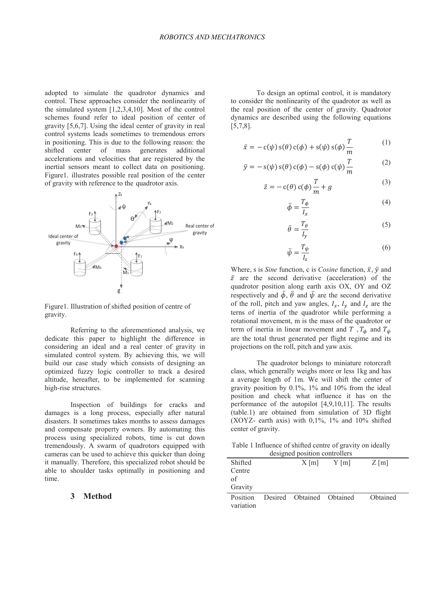adopted to simulate the quadrotor dynamics and control. These approaches consider the nonlinearity of the simulated system [1,2,3,4,10]. Most of the control schemes found refer to ideal position of center of gravity [5,6,7]. Using the ideal center of gravity in real control systems leads sometimes to tremendous errors in positioning. This is due to the following reason: the shifted center of mass generates additional accelerations and velocities that are registered by the inertial sensors meant to collect data on positioning. Figure1. illustrates possible real position of the center of gravity with reference to the quadrotor axis.



Figure1. Illustration of shifted position of centre of gravity.

Referring to the aforementioned analysis, we dedicate this paper to highlight the difference in considering an ideal and a real center of gravity in simulated control system. By achieving this, we will build our case study which consists of designing an optimized fuzzy logic controller to track a desired altitude, hereafter, to be implemented for scanning high-rise structures.

Inspection of buildings for cracks and damages is a long process, especially after natural disasters. It sometimes takes months to assess damages and compensate property owners. By automating this process using specialized robots, time is cut down tremendously. A swarm of quadrotors equipped with cameras can be used to achieve this quicker than doing it manually. Therefore, this specialized robot should be able to shoulder tasks optimally in positioning and time.

## **3 Method**

To design an optimal control, it is mandatory to consider the nonlinearity of the quadrotor as well as the real position of the center of gravity. Quadrotor dynamics are described using the following equations [5,7,8].

$$
\ddot{x} = -c(\psi) s(\theta) c(\phi) + s(\psi) s(\phi) \frac{T}{m}
$$
 (1)

$$
\ddot{y} = -s(\psi) s(\theta) c(\phi) - s(\phi) c(\psi) \frac{T}{m}
$$
 (2)

$$
\ddot{z} = -c(\theta) c(\phi) \frac{T}{m} + g \tag{3}
$$

$$
\ddot{\phi} = \frac{T_{\phi}}{I_x} \tag{4}
$$

$$
\ddot{\theta} = \frac{T_{\theta}}{I_y} \tag{5}
$$

$$
\ddot{\psi} = \frac{T_{\psi}}{I_z} \tag{6}
$$

Where, s is *Sine* function, c is *Cosine* function,  $\ddot{x}$ ,  $\ddot{y}$  and  $\ddot{z}$  are the second derivative (acceleration) of the quadrotor position along earth axis OX, OY and OZ respectively and  $\ddot{\phi}$ ,  $\ddot{\theta}$  and  $\ddot{\psi}$  are the second derivative of the roll, pitch and yaw angles,  $I_x$ ,  $I_y$  and  $I_z$  are the terns of inertia of the quadrotor while performing a rotational movement, m is the mass of the quadrotor or term of inertia in linear movement and T,  $T_{\phi}$  and  $T_{\psi}$ are the total thrust generated per flight regime and its projections on the roll, pitch and yaw axis.

The quadrotor belongs to miniature rotorcraft class, which generally weighs more or less 1kg and has a average length of 1m. We will shift the center of gravity position by 0.1%, 1% and 10% from the ideal position and check what influence it has on the performance of the autopilot [4,9,10,11]. The results (table.1) are obtained from simulation of 3D flight (XOYZ- earth axis) with 0,1%, 1% and 10% shifted center of gravity.

Table 1 Influence of shifted centre of gravity on ideally designed position controllers

| Shifted<br>Centre<br>of<br>Gravity | $X$ [m]                   | $Y$ [m] | $Z \,[\mathrm{m}]$ |  |
|------------------------------------|---------------------------|---------|--------------------|--|
| <b>Position</b><br>variation       | Desired Obtained Obtained |         | Obtained           |  |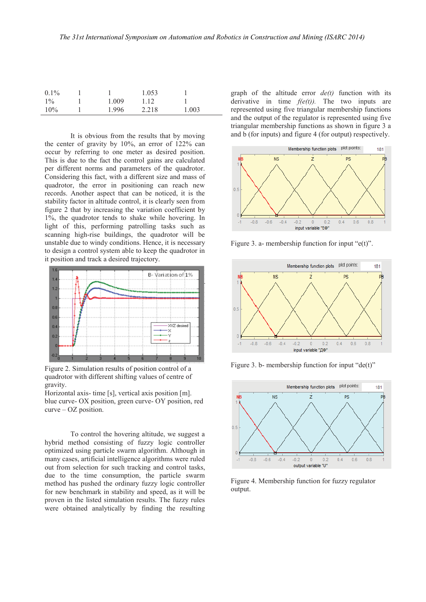| $0.1\%$ |       | 1.053 |       |
|---------|-------|-------|-------|
| $1\%$   | 1.009 | 1.12  |       |
| $10\%$  | 1.996 | 2.218 | 1.003 |

It is obvious from the results that by moving the center of gravity by 10%, an error of 122% can occur by referring to one meter as desired position. This is due to the fact the control gains are calculated per different norms and parameters of the quadrotor. Considering this fact, with a different size and mass of quadrotor, the error in positioning can reach new records. Another aspect that can be noticed, it is the stability factor in altitude control, it is clearly seen from figure 2 that by increasing the variation coefficient by 1%, the quadrotor tends to shake while hovering. In light of this, performing patrolling tasks such as scanning high-rise buildings, the quadrotor will be unstable due to windy conditions. Hence, it is necessary to design a control system able to keep the quadrotor in it position and track a desired trajectory.



Figure 2. Simulation results of position control of a quadrotor with different shifting values of centre of gravity.

Horizontal axis- time [s], vertical axis position [m]. blue curve- OX position, green curve- OY position, red curve – OZ position.

To control the hovering altitude, we suggest a hybrid method consisting of fuzzy logic controller optimized using particle swarm algorithm. Although in many cases, artificial intelligence algorithms were ruled out from selection for such tracking and control tasks, due to the time consumption, the particle swarm method has pushed the ordinary fuzzy logic controller for new benchmark in stability and speed, as it will be proven in the listed simulation results. The fuzzy rules were obtained analytically by finding the resulting

graph of the altitude error *de(t)* function with its derivative in time  $f(e(t))$ . The two inputs are represented using five triangular membership functions and the output of the regulator is represented using five triangular membership functions as shown in figure 3 a and b (for inputs) and figure 4 (for output) respectively.



Figure 3. a- membership function for input " $e(t)$ ".



Figure 3. b- membership function for input "de(t)"



Figure 4. Membership function for fuzzy regulator output.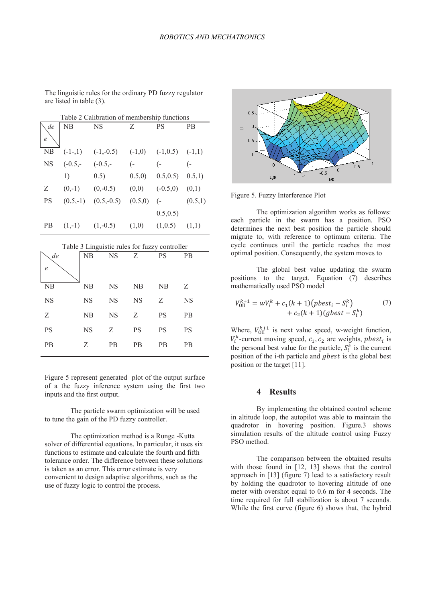| Table 2 Calibration of membership functions |            |              |                  |                     |           |  |
|---------------------------------------------|------------|--------------|------------------|---------------------|-----------|--|
| de                                          | NB         | NS           | Z                | PS                  | <b>PB</b> |  |
| $\epsilon$                                  |            |              |                  |                     |           |  |
| NB                                          | $(-1,1)$   | $(-1,-0.5)$  | $(-1,0)$         | $(-1,0.5)$ $(-1,1)$ |           |  |
| <b>NS</b>                                   | $(-0.5,-)$ | $(-0.5,-)$   | $\overline{(-)}$ | $(-$                |           |  |
|                                             | 1)         | 0.5)         | 0.5,0            | 0.5, 0.5)           | 0.5,1)    |  |
| Ζ                                           | $(0,-1)$   | $(0,-0.5)$   | (0,0)            | $(-0.5,0)$          | (0,1)     |  |
| <b>PS</b>                                   | $(0.5,-1)$ | $(0.5,-0.5)$ | (0.5, 0)         | $\overline{(-)}$    | (0.5,1)   |  |
|                                             |            |              |                  | 0.5, 0.5)           |           |  |
| PВ                                          | $(1,-1)$   | $(1,-0.5)$   | (1,0)            | (1,0.5)             | (1,1)     |  |

The linguistic rules for the ordinary PD fuzzy regulator

are listed in table (3).

| Table 3 Linguistic rules for fuzzy controller |           |           |           |                |           |  |
|-----------------------------------------------|-----------|-----------|-----------|----------------|-----------|--|
| de                                            | NB        | <b>NS</b> | Z         | <b>PS</b>      | <b>PB</b> |  |
| e                                             |           |           |           |                |           |  |
| NB                                            | NB        | <b>NS</b> | NΒ        | N <sub>B</sub> | Z         |  |
| <b>NS</b>                                     | <b>NS</b> | <b>NS</b> | <b>NS</b> | Z              | <b>NS</b> |  |
| Z                                             | NB        | <b>NS</b> | Z         | <b>PS</b>      | <b>PB</b> |  |
| PS                                            | <b>NS</b> | Z         | <b>PS</b> | <b>PS</b>      | <b>PS</b> |  |
| <b>PB</b>                                     | Z         | РB        | РB        | РB             | PB        |  |

Figure 5 represent generated plot of the output surface of a the fuzzy inference system using the first two inputs and the first output.

The particle swarm optimization will be used to tune the gain of the PD fuzzy controller.

The optimization method is a Runge -Kutta solver of differential equations. In particular, it uses six functions to estimate and calculate the fourth and fifth tolerance order. The difference between these solutions is taken as an error. This error estimate is very convenient to design adaptive algorithms, such as the use of fuzzy logic to control the process.



Figure 5. Fuzzy Interference Plot

The optimization algorithm works as follows: each particle in the swarm has a position. PSO determines the next best position the particle should migrate to, with reference to optimum criteria. The cycle continues until the particle reaches the most optimal position. Consequently, the system moves to

The global best value updating the swarm positions to the target. Equation (7) describes mathematically used PSO model

$$
V_{\text{OII}}^{k+1} = wV_i^k + c_1(k+1)(pbest_i - S_i^k) + c_2(k+1)(gbest - S_i^k)
$$
 (7)

Where,  $V_{\text{OII}}^{k+1}$  is next value speed, w-weight function,  $V_i^k$ -current moving speed,  $c_1$ ,  $c_2$  are weights, *phest<sub>i</sub>* is the personal best value for the particle,  $S_i^k$  is the current position of the i-th particle and *gbest* is the global best position or the target [11].

## **4 Results**

By implementing the obtained control scheme in altitude loop, the autopilot was able to maintain the quadrotor in hovering position. Figure.3 shows simulation results of the altitude control using Fuzzy PSO method.

The comparison between the obtained results with those found in [12, 13] shows that the control approach in [13] (figure 7) lead to a satisfactory result by holding the quadrotor to hovering altitude of one meter with overshot equal to 0.6 m for 4 seconds. The time required for full stabilization is about 7 seconds. While the first curve (figure 6) shows that, the hybrid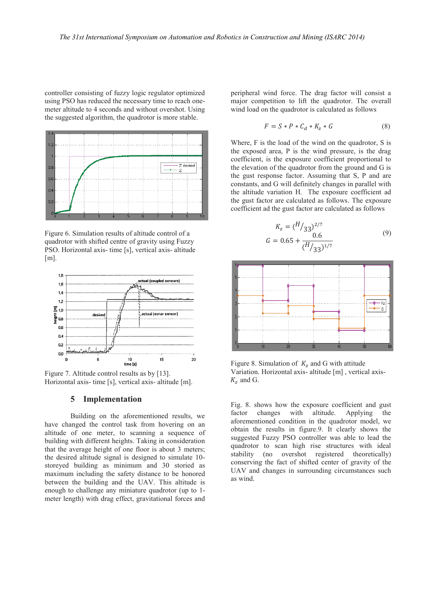controller consisting of fuzzy logic regulator optimized using PSO has reduced the necessary time to reach onemeter altitude to 4 seconds and without overshot. Using the suggested algorithm, the quadrotor is more stable.



Figure 6. Simulation results of altitude control of a quadrotor with shifted centre of gravity using Fuzzy PSO. Horizontal axis- time [s], vertical axis- altitude  $[m]$ .



Figure 7. Altitude control results as by [13]. Horizontal axis- time [s], vertical axis- altitude [m].

### **5 Implementation**

Building on the aforementioned results, we have changed the control task from hovering on an altitude of one meter, to scanning a sequence of building with different heights. Taking in consideration that the average height of one floor is about 3 meters; the desired altitude signal is designed to simulate 10 storeyed building as minimum and 30 storied as maximum including the safety distance to be honored between the building and the UAV. This altitude is enough to challenge any miniature quadrotor (up to 1 meter length) with drag effect, gravitational forces and peripheral wind force. The drag factor will consist a major competition to lift the quadrotor. The overall wind load on the quadrotor is calculated as follows

$$
F = S \ast P \ast C_d \ast K_z \ast G \tag{8}
$$

Where, F is the load of the wind on the quadrotor, S is the exposed area, P is the wind pressure, is the drag coefficient, is the exposure coefficient proportional to the elevation of the quadrotor from the ground and G is the gust response factor. Assuming that S, P and are constants, and G will definitely changes in parallel with the altitude variation H. The exposure coefficient ad the gust factor are calculated as follows. The exposure coefficient ad the gust factor are calculated as follows

$$
K_z = (H/33)^{2/7}
$$
  
\n
$$
G = 0.65 + \frac{0.6}{(H/33)^{1/7}}
$$
\n(9)



Figure 8. Simulation of  $K_z$  and G with attitude Variation. Horizontal axis- altitude [m] , vertical axis- $K_z$  and G.

Fig. 8. shows how the exposure coefficient and gust factor changes with altitude. Applying the aforementioned condition in the quadrotor model, we obtain the results in figure.9. It clearly shows the suggested Fuzzy PSO controller was able to lead the quadrotor to scan high rise structures with ideal stability (no overshot registered theoretically) conserving the fact of shifted center of gravity of the UAV and changes in surrounding circumstances such as wind.